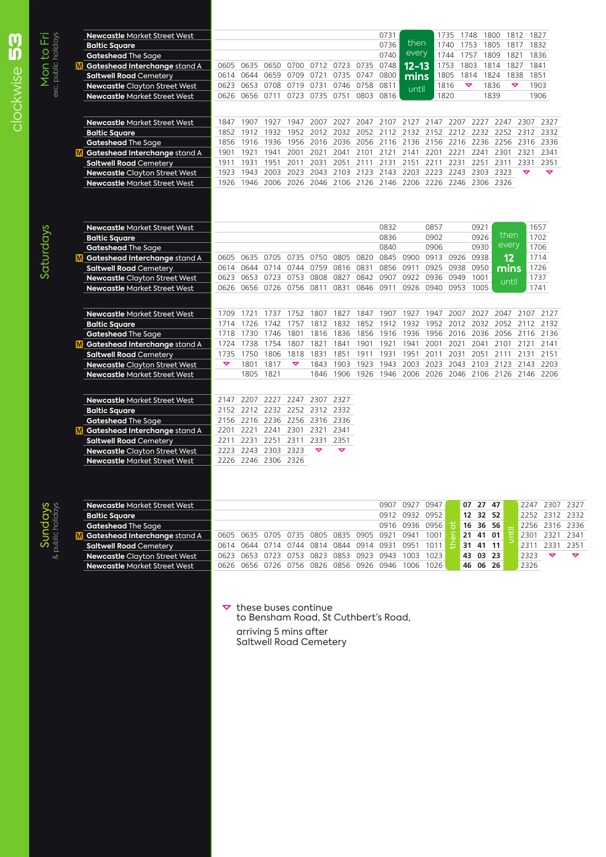| <b>Newcastle Market Street West</b>  |      |                     |                     |                      |                                    |           |           | 0731      |                                              |      | 1735                | 1748                 | 1800      | 1812 1827            |                                         |  |
|--------------------------------------|------|---------------------|---------------------|----------------------|------------------------------------|-----------|-----------|-----------|----------------------------------------------|------|---------------------|----------------------|-----------|----------------------|-----------------------------------------|--|
| <b>Baltic Square</b>                 |      |                     |                     |                      |                                    |           |           | 0736      | then                                         |      | 1740                | 1753                 | 1805      | 1817                 | 1832                                    |  |
| <b>Gateshead The Sage</b>            |      |                     |                     |                      |                                    |           |           | 0740      | every                                        |      | 1744                | 1757                 | 1809      | 1821                 | 1836                                    |  |
| M Gateshead Interchange stand A      | 0605 | 0635 0650           |                     |                      | 0700 0712 0723 0735                |           |           | 0748      | 12–13                                        |      | 1753                | 1803                 | 1814      | 1827                 | 1841                                    |  |
| <b>Saltwell Road Cemetery</b>        | 0614 | 0644                | 0659                | 0709                 | 0721                               | 0735      | 0747      | 0800      | mins                                         |      | 1805                | 1814                 | 1824      | 1838                 | 1851                                    |  |
| <b>Newcastle Clayton Street West</b> | 0623 | 0653                | 0708                | 0719                 | 0731                               | 0746      | 0758      | 0811      | until                                        |      | 1816                | $\blacktriangledown$ | 1836      | $\blacktriangledown$ | 1903                                    |  |
| <b>Newcastle Market Street West</b>  | 0626 | 0656 0711           |                     |                      | 0723 0735 0751 0803 0816           |           |           |           |                                              |      | 1820                |                      | 1839      |                      | 1906                                    |  |
|                                      |      |                     |                     |                      |                                    |           |           |           |                                              |      |                     |                      |           |                      |                                         |  |
| <b>Newcastle Market Street West</b>  | 1847 | 1907                | 1927                |                      | 1947 2007                          | 2027      | 2047      |           | 2107 2127 2147 2207                          |      |                     |                      | 2227 2247 |                      | 2307 2327                               |  |
| <b>Baltic Square</b>                 | 1852 | 1912                | 1932                |                      | 1952 2012                          | 2032 2052 |           |           |                                              |      |                     |                      |           |                      | 2112 2132 2152 2212 2232 2252 2312 2332 |  |
| Gateshead The Sage                   | 1856 | 1916                | 1936                |                      | 1956 2016                          | 2036 2056 |           | 2116 2136 |                                              |      | 2156 2216 2236 2256 |                      |           |                      | 2316 2336                               |  |
| Gateshead Interchange stand A        | 1901 | 1921                | 1941                |                      | 2001 2021                          |           |           |           | 2041 2101 2121 2141 2201 2221 2241 2301 2321 |      |                     |                      |           |                      | 2341                                    |  |
| <b>Saltwell Road Cemetery</b>        | 1911 | 1931                | 1951                | 2011                 | 2031                               | 2051      | 2111      | 2131      | 2151                                         | 2211 | 2231                | 2251                 | 2311      | 2331                 | 2351                                    |  |
| Newcastle Clayton Street West        | 1923 | 1943                | 2003                |                      | 2023 2043                          | 2103 2123 |           | 2143 2203 |                                              | 2223 | 2243                |                      | 2303 2323 | $\blacktriangledown$ | $\blacktriangledown$                    |  |
| <b>Newcastle Market Street West</b>  | 1926 | 1946                | 2006                |                      | 2026 2046 2106 2126 2146 2206      |           |           |           |                                              |      | 2226 2246           |                      | 2306 2326 |                      |                                         |  |
|                                      |      |                     |                     |                      |                                    |           |           |           |                                              |      |                     |                      |           |                      |                                         |  |
| <b>Newcastle Market Street West</b>  |      |                     |                     |                      |                                    |           |           | 0832      |                                              | 0857 |                     | 0921                 |           |                      | 1657                                    |  |
| <b>Baltic Square</b>                 |      |                     |                     |                      |                                    |           |           | 0836      |                                              | 0902 |                     | 0926                 |           | then                 | 1702                                    |  |
| <b>Gateshead The Sage</b>            |      |                     |                     |                      |                                    |           |           | 0840      |                                              | 0906 |                     | 0930                 |           | every                | 1706                                    |  |
| Gateshead Interchange stand A        | 0605 |                     | 0635 0705           |                      | 0735 0750 0805 0820                |           |           |           | 0845 0900 0913 0926                          |      |                     | 0938                 |           | 12                   | 1714                                    |  |
| <b>Saltwell Road Cemetery</b>        | 0614 | 0644                | 0714                | 0744                 | 0759                               | 0816 0831 |           |           | 0856 0911                                    | 0925 | 0938                | 0950                 |           | mins                 | 1726                                    |  |
| <b>Newcastle Clayton Street West</b> | 0623 | 0653                | 0723                | 0753                 | 0808                               | 0827      | 0842      |           | 0907 0922                                    |      | 0936 0949           | 1001                 |           |                      | 1737                                    |  |
| <b>Newcastle Market Street West</b>  | 0626 |                     | 0656 0726           | 0756 0811            |                                    | 0831      | 0846      | 0911      | 0926                                         |      | 0940 0953           | 1005                 |           | until                | 1741                                    |  |
|                                      |      |                     |                     |                      |                                    |           |           |           |                                              |      |                     |                      |           |                      |                                         |  |
| <b>Newcastle Market Street West</b>  | 1709 | 1721                |                     |                      | 1737 1752 1807 1827 1847 1907 1927 |           |           |           |                                              |      | 1947 2007           |                      |           |                      | 2027 2047 2107 2127                     |  |
| <b>Baltic Square</b>                 |      | 1714 1726           | 1742                | 1757                 |                                    | 1812 1832 | 1852      | 1912      |                                              |      | 1932 1952 2012      |                      |           |                      | 2032 2052 2112 2132                     |  |
| Gateshead The Sage                   | 1718 | 1730                | 1746                | 1801                 | 1816                               | 1836      | 1856      | 1916 1936 |                                              |      |                     |                      |           |                      | 1956 2016 2036 2056 2116 2136           |  |
| Gateshead Interchange stand A        | 1724 | 1738                | 1754                | 1807                 | 1821                               | 1841      | 1901      | 1921      | 1941                                         | 2001 | 2021                | 2041                 | 2101      | 2121                 | 2141                                    |  |
| <b>Saltwell Road Cemetery</b>        | 1735 | 1750                | 1806                | 1818                 | 1831                               | 1851      | 1911      | 1931      | 1951                                         | 2011 | 2031                | 2051                 | 2111      | 2131                 | 2151                                    |  |
| Newcastle Clayton Street West        | ▽    | 1801                | 1817                | $\blacktriangledown$ | 1843                               | 1903      | 1923      |           | 1943 2003                                    | 2023 | 2043                |                      |           |                      | 2103 2123 2143 2203                     |  |
| <b>Newcastle Market Street West</b>  |      |                     | 1805 1821           |                      | 1846                               |           | 1906 1926 |           |                                              |      |                     |                      |           |                      | 1946 2006 2026 2046 2106 2126 2146 2206 |  |
| <b>Newcastle Market Street West</b>  | 2147 |                     |                     |                      | 2207 2227 2247 2307 2327           |           |           |           |                                              |      |                     |                      |           |                      |                                         |  |
| <b>Baltic Square</b>                 |      |                     |                     |                      | 2152 2212 2232 2252 2312 2332      |           |           |           |                                              |      |                     |                      |           |                      |                                         |  |
| <b>Gateshead The Sage</b>            | 2156 |                     |                     |                      | 2216 2236 2256 2316 2336           |           |           |           |                                              |      |                     |                      |           |                      |                                         |  |
| Gateshead Interchange stand A        | 2201 | 2221                | 2241                |                      | 2301 2321                          | 2341      |           |           |                                              |      |                     |                      |           |                      |                                         |  |
| <b>Saltwell Road Cemetery</b>        | 2211 |                     | 2231 2251 2311 2331 |                      |                                    | 2351      |           |           |                                              |      |                     |                      |           |                      |                                         |  |
| Newcastle Clayton Street West        |      | 2223 2243 2303 2323 |                     |                      | ▽                                  | ▽         |           |           |                                              |      |                     |                      |           |                      |                                         |  |
| <b>Newcastle Market Street West</b>  |      | 2226 2246 2306 2326 |                     |                      |                                    |           |           |           |                                              |      |                     |                      |           |                      |                                         |  |
|                                      |      |                     |                     |                      |                                    |           |           |           |                                              |      |                     |                      |           |                      |                                         |  |
| <b>Newcastle Market Street West</b>  |      |                     |                     |                      |                                    |           |           |           | 0907 0927                                    | 0947 |                     | 07 27 47             |           |                      | 2247 2307                               |  |
|                                      |      |                     |                     |                      |                                    |           |           |           |                                              |      |                     |                      |           |                      |                                         |  |

**Gateshead The Sage 16 2256 2316 2336**<br> **M** Gateshead Interchange stand A 0605 0635 0705 0735 0805 0835 0905 0921 0941 1001  $\frac{1}{6}$  21 41 01  $\frac{1}{5}$  2301 2321 2341 **Gateshead Interchange stand A** 0605 0635 0705 0735 0805 0835 0905 0921 0941 1001 **2** 21 41 01 <sup>2</sup> 2301 2321 2341 **Saltwell Road Cemetery** 0614 0644 0714 0744 0814 0844 0914 0931 0951 1011 <del>2</del> 31 41 11 2311 2331 2351 **Newcastle Clayton Street West** 0623 0653 0723 0753 0823 0853 0923 0943 1003 1023 **43 03 23** 2323  $\sim$   $\sim$ **Newcastle Market Street West** 0626 0656 0726 0756 0826 0856 0926 0946 1006 1026

> $\triangledown$  these buses continue to Bensham Road, St Cuthbert's Road, arriving 5 mins after Saltwell Road Cemetery

0614 0644 0714 0744 0814 0844 0914 0931 0951 1011 **3121 4121 12** 2311 233<br>0623 0653 0723 0753 0823 0853 0923 0943 1003 1023 **43 03 23** 2323 **2** 

Mon to Fri

Mon to Fri